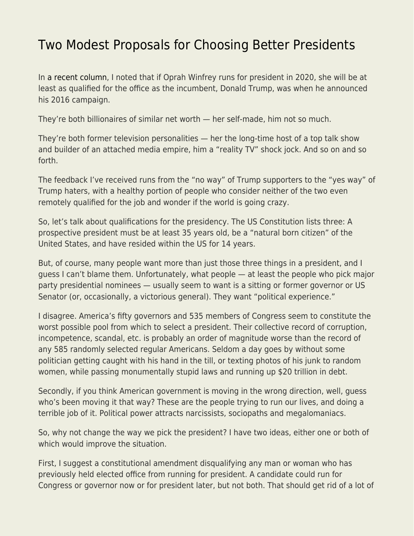## [Two Modest Proposals for Choosing Better Presidents](https://everything-voluntary.com/two-modest-proposals-choosing-better-presidents)

In [a recent column](http://everything-voluntary.com/oprah-president-not), I noted that if Oprah Winfrey runs for president in 2020, she will be at least as qualified for the office as the incumbent, Donald Trump, was when he announced his 2016 campaign.

They're both billionaires of similar net worth — her self-made, him not so much.

They're both former television personalities — her the long-time host of a top talk show and builder of an attached media empire, him a "reality TV" shock jock. And so on and so forth.

The feedback I've received runs from the "no way" of Trump supporters to the "yes way" of Trump haters, with a healthy portion of people who consider neither of the two even remotely qualified for the job and wonder if the world is going crazy.

So, let's talk about qualifications for the presidency. The US Constitution lists three: A prospective president must be at least 35 years old, be a "natural born citizen" of the United States, and have resided within the US for 14 years.

But, of course, many people want more than just those three things in a president, and I guess I can't blame them. Unfortunately, what people — at least the people who pick major party presidential nominees — usually seem to want is a sitting or former governor or US Senator (or, occasionally, a victorious general). They want "political experience."

I disagree. America's fifty governors and 535 members of Congress seem to constitute the worst possible pool from which to select a president. Their collective record of corruption, incompetence, scandal, etc. is probably an order of magnitude worse than the record of any 585 randomly selected regular Americans. Seldom a day goes by without some politician getting caught with his hand in the till, or texting photos of his junk to random women, while passing monumentally stupid laws and running up \$20 trillion in debt.

Secondly, if you think American government is moving in the wrong direction, well, guess who's been moving it that way? These are the people trying to run our lives, and doing a terrible job of it. Political power attracts narcissists, sociopaths and megalomaniacs.

So, why not change the way we pick the president? I have two ideas, either one or both of which would improve the situation.

First, I suggest a constitutional amendment disqualifying any man or woman who has previously held elected office from running for president. A candidate could run for Congress or governor now or for president later, but not both. That should get rid of a lot of